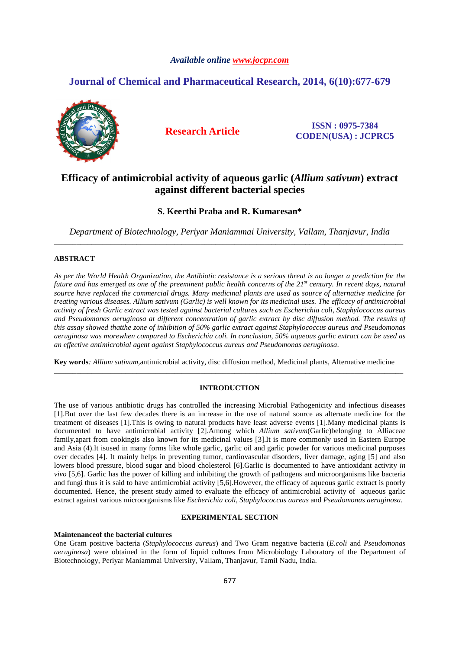# *Available online www.jocpr.com*

# **Journal of Chemical and Pharmaceutical Research, 2014, 6(10):677-679**



**Research Article ISSN : 0975-7384 CODEN(USA) : JCPRC5**

# **Efficacy of antimicrobial activity of aqueous garlic (***Allium sativum***) extract against different bacterial species**

# **S. Keerthi Praba and R. Kumaresan\***

*Department of Biotechnology, Periyar Maniammai University, Vallam, Thanjavur, India*  \_\_\_\_\_\_\_\_\_\_\_\_\_\_\_\_\_\_\_\_\_\_\_\_\_\_\_\_\_\_\_\_\_\_\_\_\_\_\_\_\_\_\_\_\_\_\_\_\_\_\_\_\_\_\_\_\_\_\_\_\_\_\_\_\_\_\_\_\_\_\_\_\_\_\_\_\_\_\_\_\_\_\_\_\_\_\_\_\_\_\_\_\_

# **ABSTRACT**

*As per the World Health Organization, the Antibiotic resistance is a serious threat is no longer a prediction for the future and has emerged as one of the preeminent public health concerns of the 21st century. In recent days, natural source have replaced the commercial drugs. Many medicinal plants are used as source of alternative medicine for treating various diseases. Allium sativum (Garlic) is well known for its medicinal uses. The efficacy of antimicrobial activity of fresh Garlic extract was tested against bacterial cultures such as Escherichia coli, Staphylococcus aureus and Pseudomonas aeruginosa at different concentration of garlic extract by disc diffusion method. The results of this assay showed thatthe zone of inhibition of 50% garlic extract against Staphylococcus aureus and Pseudomonas aeruginosa was morewhen compared to Escherichia coli. In conclusion, 50% aqueous garlic extract can be used as an effective antimicrobial agent against Staphylococcus aureus and Pseudomonas aeruginosa*.

**Key words***: Allium sativum,*antimicrobial activity, disc diffusion method, Medicinal plants, Alternative medicine \_\_\_\_\_\_\_\_\_\_\_\_\_\_\_\_\_\_\_\_\_\_\_\_\_\_\_\_\_\_\_\_\_\_\_\_\_\_\_\_\_\_\_\_\_\_\_\_\_\_\_\_\_\_\_\_\_\_\_\_\_\_\_\_\_\_\_\_\_\_\_\_\_\_\_\_\_\_\_\_\_\_\_\_\_\_\_\_\_\_\_\_\_

## **INTRODUCTION**

The use of various antibiotic drugs has controlled the increasing Microbial Pathogenicity and infectious diseases [1].But over the last few decades there is an increase in the use of natural source as alternate medicine for the treatment of diseases [1].This is owing to natural products have least adverse events [1].Many medicinal plants is documented to have antimicrobial activity [2].Among which *Allium sativum*(Garlic)belonging to Alliaceae family,apart from cookingis also known for its medicinal values [3].It is more commonly used in Eastern Europe and Asia (4).It isused in many forms like whole garlic, garlic oil and garlic powder for various medicinal purposes over decades [4]. It mainly helps in preventing tumor, cardiovascular disorders, liver damage, aging [5] and also lowers blood pressure, blood sugar and blood cholesterol [6].Garlic is documented to have antioxidant activity *in vivo* [5,6]. Garlic has the power of killing and inhibiting the growth of pathogens and microorganisms like bacteria and fungi thus it is said to have antimicrobial activity [5,6].However, the efficacy of aqueous garlic extract is poorly documented. Hence, the present study aimed to evaluate the efficacy of antimicrobial activity of aqueous garlic extract against various microorganisms like *Escherichia coli, Staphylococcus aureus* and *Pseudomonas aeruginosa.* 

# **EXPERIMENTAL SECTION**

# **Maintenanceof the bacterial cultures**

One Gram positive bacteria (*Staphylococcus aureus*) and Two Gram negative bacteria (*E.coli* and *Pseudomonas aeruginosa*) were obtained in the form of liquid cultures from Microbiology Laboratory of the Department of Biotechnology, Periyar Maniammai University, Vallam, Thanjavur, Tamil Nadu, India.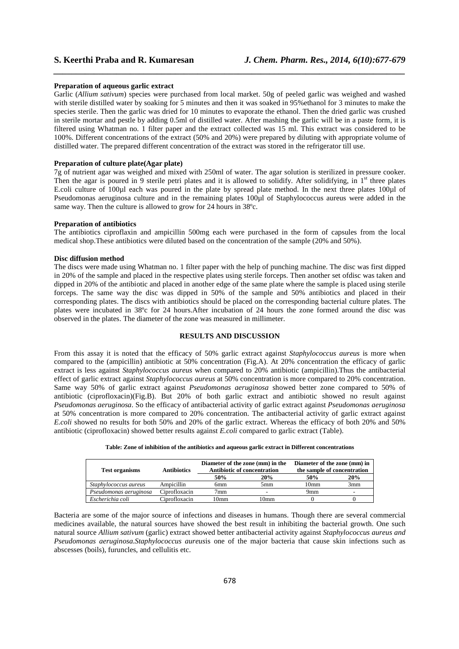### **Preparation of aqueous garlic extract**

Garlic (*Allium sativum*) species were purchased from local market. 50g of peeled garlic was weighed and washed with sterile distilled water by soaking for 5 minutes and then it was soaked in 95%ethanol for 3 minutes to make the species sterile. Then the garlic was dried for 10 minutes to evaporate the ethanol. Then the dried garlic was crushed in sterile mortar and pestle by adding 0.5ml of distilled water. After mashing the garlic will be in a paste form, it is filtered using Whatman no. 1 filter paper and the extract collected was 15 ml. This extract was considered to be 100%. Different concentrations of the extract (50% and 20%) were prepared by diluting with appropriate volume of distilled water. The prepared different concentration of the extract was stored in the refrigerator till use.

*\_\_\_\_\_\_\_\_\_\_\_\_\_\_\_\_\_\_\_\_\_\_\_\_\_\_\_\_\_\_\_\_\_\_\_\_\_\_\_\_\_\_\_\_\_\_\_\_\_\_\_\_\_\_\_\_\_\_\_\_\_\_\_\_\_\_\_\_\_\_\_\_\_\_\_\_\_\_*

### **Preparation of culture plate(Agar plate)**

7g of nutrient agar was weighed and mixed with 250ml of water. The agar solution is sterilized in pressure cooker. Then the agar is poured in 9 sterile petri plates and it is allowed to solidify. After solidifying, in  $1<sup>st</sup>$  three plates E.coli culture of 100µl each was poured in the plate by spread plate method. In the next three plates 100µl of Pseudomonas aeruginosa culture and in the remaining plates 100µl of Staphylococcus aureus were added in the same way. Then the culture is allowed to grow for 24 hours in 38°c.

### **Preparation of antibiotics**

The antibiotics ciproflaxin and ampicillin 500mg each were purchased in the form of capsules from the local medical shop.These antibiotics were diluted based on the concentration of the sample (20% and 50%).

### **Disc diffusion method**

The discs were made using Whatman no. 1 filter paper with the help of punching machine. The disc was first dipped in 20% of the sample and placed in the respective plates using sterile forceps. Then another set ofdisc was taken and dipped in 20% of the antibiotic and placed in another edge of the same plate where the sample is placed using sterile forceps. The same way the disc was dipped in 50% of the sample and 50% antibiotics and placed in their corresponding plates. The discs with antibiotics should be placed on the corresponding bacterial culture plates. The plates were incubated in 38ºc for 24 hours.After incubation of 24 hours the zone formed around the disc was observed in the plates. The diameter of the zone was measured in millimeter.

## **RESULTS AND DISCUSSION**

From this assay it is noted that the efficacy of 50% garlic extract against *Staphylococcus aureus* is more when compared to the (ampicillin) antibiotic at 50% concentration (Fig.A). At 20% concentration the efficacy of garlic extract is less against *Staphylococcus aureus* when compared to 20% antibiotic (ampicillin).Thus the antibacterial effect of garlic extract against *Staphylococcus aureus* at 50% concentration is more compared to 20% concentration. Same way 50% of garlic extract against *Pseudomonas aeruginosa* showed better zone compared to 50% of antibiotic (ciprofloxacin)(Fig.B). But 20% of both garlic extract and antibiotic showed no result against *Pseudomonas aeruginosa*. So the efficacy of antibacterial activity of garlic extract against *Pseudomonas aeruginosa* at 50% concentration is more compared to 20% concentration. The antibacterial activity of garlic extract against *E.coli* showed no results for both 50% and 20% of the garlic extract. Whereas the efficacy of both 20% and 50% antibiotic (ciprofloxacin) showed better results against *E.coli* compared to garlic extract (Table).

| <b>Test organisms</b>  | <b>Antibiotics</b> | Diameter of the zone (mm) in the<br><b>Antibiotic of concentration</b> |      | Diameter of the zone (mm) in<br>the sample of concentration |     |
|------------------------|--------------------|------------------------------------------------------------------------|------|-------------------------------------------------------------|-----|
|                        |                    | 50%                                                                    | 20%  | 50%                                                         | 20% |
| Staphylococcus aureus  | Ampicillin         | 6mm                                                                    | 5mm  | 10 <sub>mm</sub>                                            | 3mm |
| Pseudomonas aeruginosa | Ciprofloxacin      | 7 <sub>mm</sub>                                                        |      | 9mm                                                         |     |
| Escherichia coli       | Ciprofloxacin      | l Omm                                                                  | 10mm |                                                             |     |

Bacteria are some of the major source of infections and diseases in humans. Though there are several commercial medicines available, the natural sources have showed the best result in inhibiting the bacterial growth. One such natural source *Allium sativum* (garlic) extract showed better antibacterial activity against *Staphylococcus aureus and Pseudomonas aeruginosa.Staphylococcus aureus*is one of the major bacteria that cause skin infections such as abscesses (boils), furuncles, and cellulitis etc.